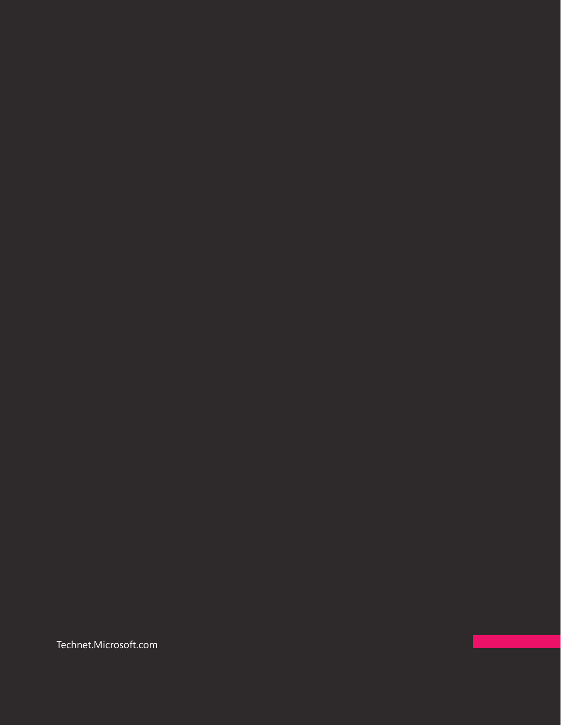Technet.Microsoft.com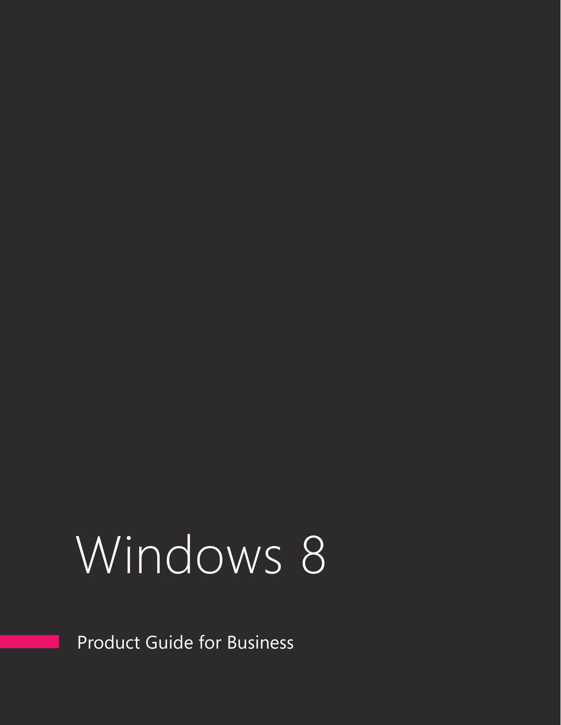# Windows 8

Product Guide for Business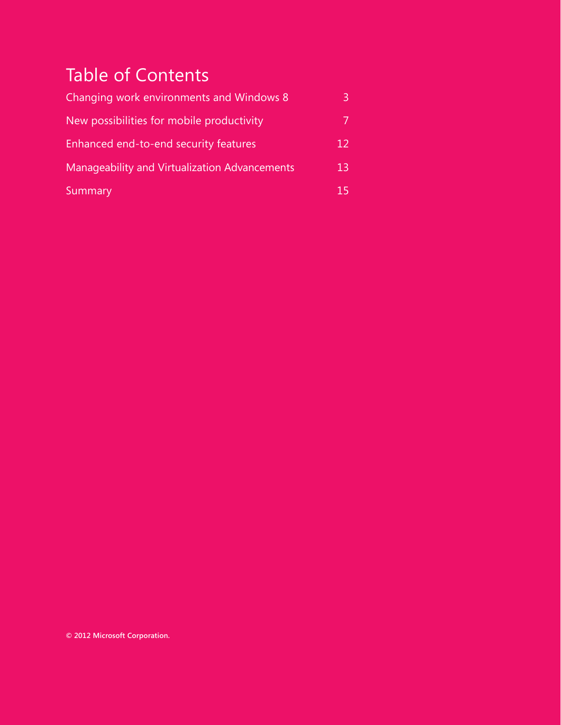# Table of Contents

| Changing work environments and Windows 8      | ₹. |
|-----------------------------------------------|----|
| New possibilities for mobile productivity     |    |
| Enhanced end-to-end security features         | 12 |
| Manageability and Virtualization Advancements | 13 |
| Summary                                       | 15 |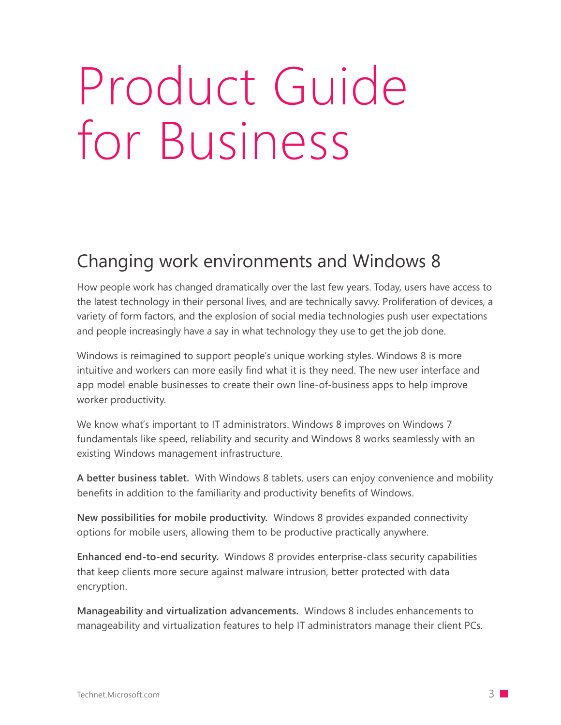# Product Guide for Business

# Changing work environments and Windows 8

How people work has changed dramatically over the last few years. Today, users have access to the latest technology in their personal lives, and are technically savvy. Proliferation of devices, a variety of form factors, and the explosion of social media technologies push user expectations and people increasingly have a say in what technology they use to get the job done.

Windows is reimagined to support people's unique working styles. Windows 8 is more intuitive and workers can more easily find what it is they need. The new user interface and app model enable businesses to create their own line-of-business apps to help improve worker productivity.

We know what's important to IT administrators. Windows 8 improves on Windows 7 fundamentals like speed, reliability and security and Windows 8 works seamlessly with an existing Windows management infrastructure.

**A better business tablet.** With Windows 8 tablets, users can enjoy convenience and mobility benefits in addition to the familiarity and productivity benefits of Windows.

**New possibilities for mobile productivity.** Windows 8 provides expanded connectivity options for mobile users, allowing them to be productive practically anywhere.

**Enhanced end-to-end security.** Windows 8 provides enterprise-class security capabilities that keep clients more secure against malware intrusion, better protected with data encryption.

**Manageability and virtualization advancements.** Windows 8 includes enhancements to manageability and virtualization features to help IT administrators manage their client PCs.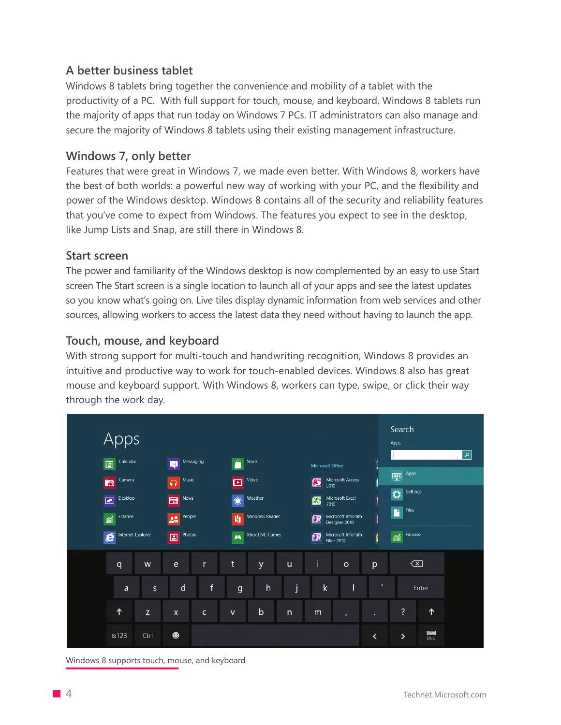## **A better business tablet**

Windows 8 tablets bring together the convenience and mobility of a tablet with the productivity of a PC. With full support for touch, mouse, and keyboard, Windows 8 tablets run the majority of apps that run today on Windows 7 PCs. IT administrators can also manage and secure the majority of Windows 8 tablets using their existing management infrastructure.

#### **Windows 7, only better**

Features that were great in Windows 7, we made even better. With Windows 8, workers have the best of both worlds: a powerful new way of working with your PC, and the flexibility and power of the Windows desktop. Windows 8 contains all of the security and reliability features that you've come to expect from Windows. The features you expect to see in the desktop, like Jump Lists and Snap, are still there in Windows 8.

#### **Start screen**

The power and familiarity of the Windows desktop is now complemented by an easy to use Start screen The Start screen is a single location to launch all of your apps and see the latest updates so you know what's going on. Live tiles display dynamic information from web services and other sources, allowing workers to access the latest data they need without having to launch the app.

## **Touch, mouse, and keyboard**

With strong support for multi-touch and handwriting recognition, Windows 8 provides an intuitive and productive way to work for touch-enabled devices. Windows 8 also has great mouse and keyboard support. With Windows 8, workers can type, swipe, or click their way through the work day.



Windows 8 supports touch, mouse, and keyboard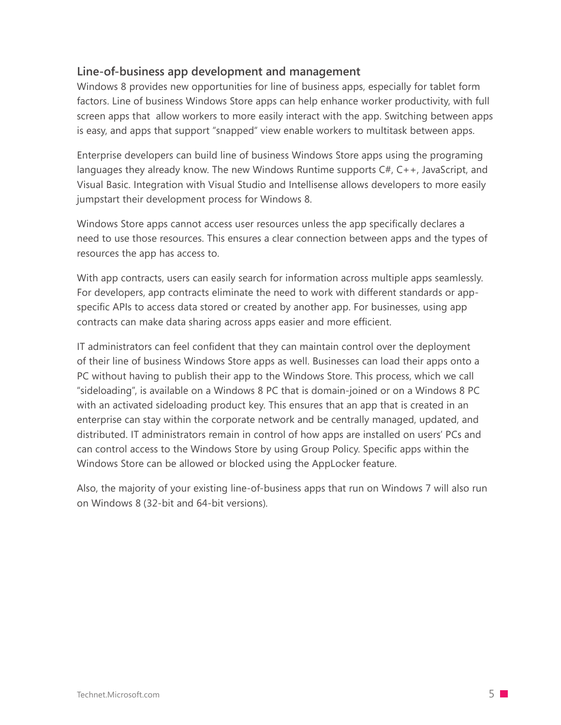## **Line-of-business app development and management**

Windows 8 provides new opportunities for line of business apps, especially for tablet form factors. Line of business Windows Store apps can help enhance worker productivity, with full screen apps that allow workers to more easily interact with the app. Switching between apps is easy, and apps that support "snapped" view enable workers to multitask between apps.

Enterprise developers can build line of business Windows Store apps using the programing languages they already know. The new Windows Runtime supports C#, C++, JavaScript, and Visual Basic. Integration with Visual Studio and Intellisense allows developers to more easily jumpstart their development process for Windows 8.

Windows Store apps cannot access user resources unless the app specifically declares a need to use those resources. This ensures a clear connection between apps and the types of resources the app has access to.

With app contracts, users can easily search for information across multiple apps seamlessly. For developers, app contracts eliminate the need to work with different standards or appspecific APIs to access data stored or created by another app. For businesses, using app contracts can make data sharing across apps easier and more efficient.

IT administrators can feel confident that they can maintain control over the deployment of their line of business Windows Store apps as well. Businesses can load their apps onto a PC without having to publish their app to the Windows Store. This process, which we call "sideloading", is available on a Windows 8 PC that is domain-joined or on a Windows 8 PC with an activated sideloading product key. This ensures that an app that is created in an enterprise can stay within the corporate network and be centrally managed, updated, and distributed. IT administrators remain in control of how apps are installed on users' PCs and can control access to the Windows Store by using Group Policy. Specific apps within the Windows Store can be allowed or blocked using the AppLocker feature.

Also, the majority of your existing line-of-business apps that run on Windows 7 will also run on Windows 8 (32-bit and 64-bit versions).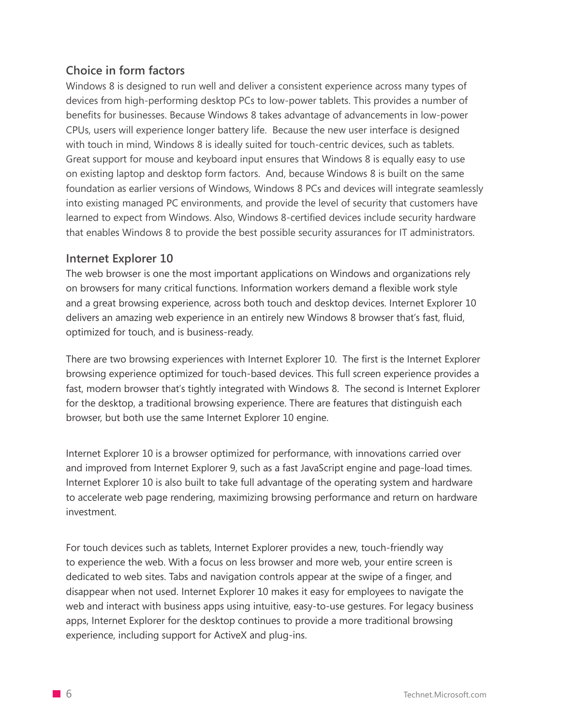## **Choice in form factors**

Windows 8 is designed to run well and deliver a consistent experience across many types of devices from high-performing desktop PCs to low-power tablets. This provides a number of benefits for businesses. Because Windows 8 takes advantage of advancements in low-power CPUs, users will experience longer battery life. Because the new user interface is designed with touch in mind, Windows 8 is ideally suited for touch-centric devices, such as tablets. Great support for mouse and keyboard input ensures that Windows 8 is equally easy to use on existing laptop and desktop form factors. And, because Windows 8 is built on the same foundation as earlier versions of Windows, Windows 8 PCs and devices will integrate seamlessly into existing managed PC environments, and provide the level of security that customers have learned to expect from Windows. Also, Windows 8-certified devices include security hardware that enables Windows 8 to provide the best possible security assurances for IT administrators.

#### **Internet Explorer 10**

The web browser is one the most important applications on Windows and organizations rely on browsers for many critical functions. Information workers demand a flexible work style and a great browsing experience, across both touch and desktop devices. Internet Explorer 10 delivers an amazing web experience in an entirely new Windows 8 browser that's fast, fluid, optimized for touch, and is business-ready.

There are two browsing experiences with Internet Explorer 10. The first is the Internet Explorer browsing experience optimized for touch-based devices. This full screen experience provides a fast, modern browser that's tightly integrated with Windows 8. The second is Internet Explorer for the desktop, a traditional browsing experience. There are features that distinguish each browser, but both use the same Internet Explorer 10 engine.

Internet Explorer 10 is a browser optimized for performance, with innovations carried over and improved from Internet Explorer 9, such as a fast JavaScript engine and page-load times. Internet Explorer 10 is also built to take full advantage of the operating system and hardware to accelerate web page rendering, maximizing browsing performance and return on hardware investment.

For touch devices such as tablets, Internet Explorer provides a new, touch-friendly way to experience the web. With a focus on less browser and more web, your entire screen is dedicated to web sites. Tabs and navigation controls appear at the swipe of a finger, and disappear when not used. Internet Explorer 10 makes it easy for employees to navigate the web and interact with business apps using intuitive, easy-to-use gestures. For legacy business apps, Internet Explorer for the desktop continues to provide a more traditional browsing experience, including support for ActiveX and plug-ins.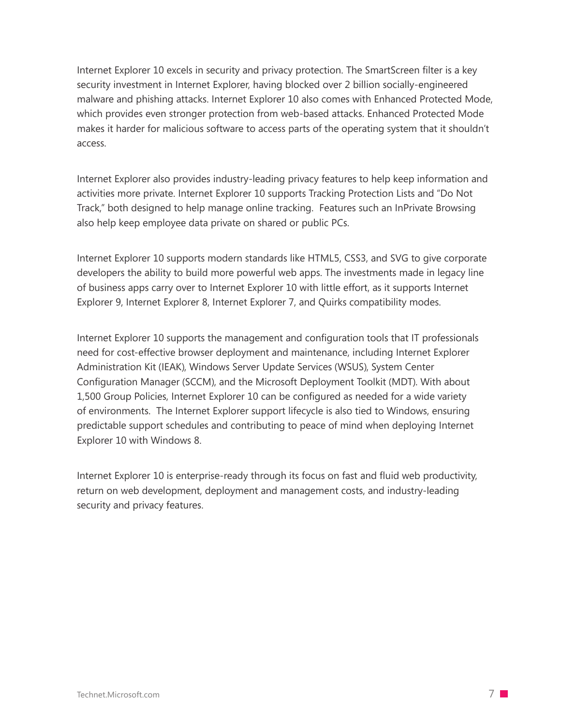Internet Explorer 10 excels in security and privacy protection. The SmartScreen filter is a key security investment in Internet Explorer, having blocked over 2 billion socially-engineered malware and phishing attacks. Internet Explorer 10 also comes with Enhanced Protected Mode, which provides even stronger protection from web-based attacks. Enhanced Protected Mode makes it harder for malicious software to access parts of the operating system that it shouldn't access.

Internet Explorer also provides industry-leading privacy features to help keep information and activities more private. Internet Explorer 10 supports Tracking Protection Lists and "Do Not Track," both designed to help manage online tracking. Features such an InPrivate Browsing also help keep employee data private on shared or public PCs.

Internet Explorer 10 supports modern standards like HTML5, CSS3, and SVG to give corporate developers the ability to build more powerful web apps. The investments made in legacy line of business apps carry over to Internet Explorer 10 with little effort, as it supports Internet Explorer 9, Internet Explorer 8, Internet Explorer 7, and Quirks compatibility modes.

Internet Explorer 10 supports the management and configuration tools that IT professionals need for cost-effective browser deployment and maintenance, including Internet Explorer Administration Kit (IEAK), Windows Server Update Services (WSUS), System Center Configuration Manager (SCCM), and the Microsoft Deployment Toolkit (MDT). With about 1,500 Group Policies, Internet Explorer 10 can be configured as needed for a wide variety of environments. The Internet Explorer support lifecycle is also tied to Windows, ensuring predictable support schedules and contributing to peace of mind when deploying Internet Explorer 10 with Windows 8.

Internet Explorer 10 is enterprise-ready through its focus on fast and fluid web productivity, return on web development, deployment and management costs, and industry-leading security and privacy features.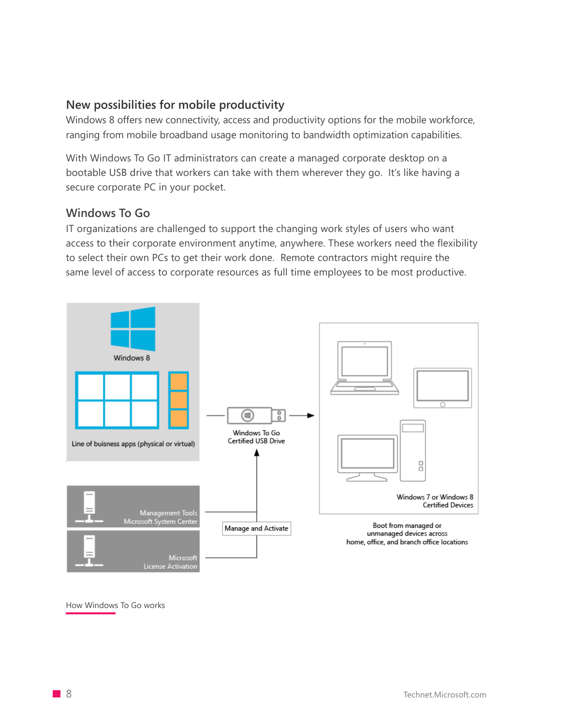#### **New possibilities for mobile productivity**

Windows 8 offers new connectivity, access and productivity options for the mobile workforce, ranging from mobile broadband usage monitoring to bandwidth optimization capabilities.

With Windows To Go IT administrators can create a managed corporate desktop on a bootable USB drive that workers can take with them wherever they go. It's like having a secure corporate PC in your pocket.

#### **Windows To Go**

IT organizations are challenged to support the changing work styles of users who want access to their corporate environment anytime, anywhere. These workers need the flexibility to select their own PCs to get their work done. Remote contractors might require the same level of access to corporate resources as full time employees to be most productive.



How Windows To Go works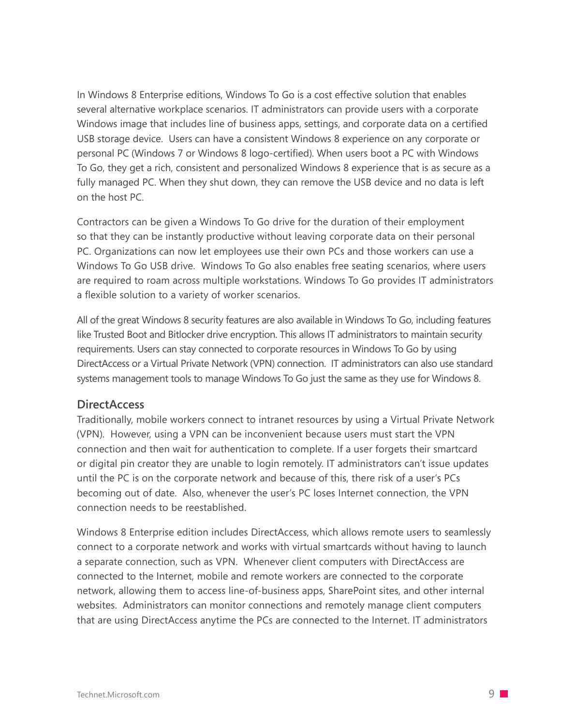In Windows 8 Enterprise editions, Windows To Go is a cost effective solution that enables several alternative workplace scenarios. IT administrators can provide users with a corporate Windows image that includes line of business apps, settings, and corporate data on a certified USB storage device. Users can have a consistent Windows 8 experience on any corporate or personal PC (Windows 7 or Windows 8 logo-certified). When users boot a PC with Windows To Go, they get a rich, consistent and personalized Windows 8 experience that is as secure as a fully managed PC. When they shut down, they can remove the USB device and no data is left on the host PC.

Contractors can be given a Windows To Go drive for the duration of their employment so that they can be instantly productive without leaving corporate data on their personal PC. Organizations can now let employees use their own PCs and those workers can use a Windows To Go USB drive. Windows To Go also enables free seating scenarios, where users are required to roam across multiple workstations. Windows To Go provides IT administrators a flexible solution to a variety of worker scenarios.

All of the great Windows 8 security features are also available in Windows To Go, including features like Trusted Boot and Bitlocker drive encryption. This allows IT administrators to maintain security requirements. Users can stay connected to corporate resources in Windows To Go by using DirectAccess or a Virtual Private Network (VPN) connection. IT administrators can also use standard systems management tools to manage Windows To Go just the same as they use for Windows 8.

#### **DirectAccess**

Traditionally, mobile workers connect to intranet resources by using a Virtual Private Network (VPN). However, using a VPN can be inconvenient because users must start the VPN connection and then wait for authentication to complete. If a user forgets their smartcard or digital pin creator they are unable to login remotely. IT administrators can't issue updates until the PC is on the corporate network and because of this, there risk of a user's PCs becoming out of date. Also, whenever the user's PC loses Internet connection, the VPN connection needs to be reestablished.

Windows 8 Enterprise edition includes DirectAccess, which allows remote users to seamlessly connect to a corporate network and works with virtual smartcards without having to launch a separate connection, such as VPN. Whenever client computers with DirectAccess are connected to the Internet, mobile and remote workers are connected to the corporate network, allowing them to access line-of-business apps, SharePoint sites, and other internal websites. Administrators can monitor connections and remotely manage client computers that are using DirectAccess anytime the PCs are connected to the Internet. IT administrators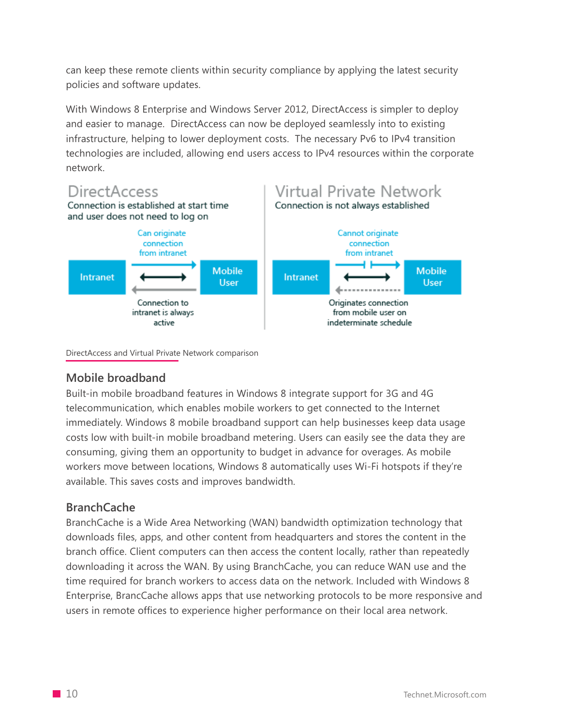can keep these remote clients within security compliance by applying the latest security policies and software updates.

With Windows 8 Enterprise and Windows Server 2012, DirectAccess is simpler to deploy and easier to manage. DirectAccess can now be deployed seamlessly into to existing infrastructure, helping to lower deployment costs. The necessary Pv6 to IPv4 transition technologies are included, allowing end users access to IPv4 resources within the corporate network.



DirectAccess and Virtual Private Network comparison

#### **Mobile broadband**

Built-in mobile broadband features in Windows 8 integrate support for 3G and 4G telecommunication, which enables mobile workers to get connected to the Internet immediately. Windows 8 mobile broadband support can help businesses keep data usage costs low with built-in mobile broadband metering. Users can easily see the data they are consuming, giving them an opportunity to budget in advance for overages. As mobile workers move between locations, Windows 8 automatically uses Wi-Fi hotspots if they're available. This saves costs and improves bandwidth.

#### **BranchCache**

BranchCache is a Wide Area Networking (WAN) bandwidth optimization technology that downloads files, apps, and other content from headquarters and stores the content in the branch office. Client computers can then access the content locally, rather than repeatedly downloading it across the WAN. By using BranchCache, you can reduce WAN use and the time required for branch workers to access data on the network. Included with Windows 8 Enterprise, BrancCache allows apps that use networking protocols to be more responsive and users in remote offices to experience higher performance on their local area network.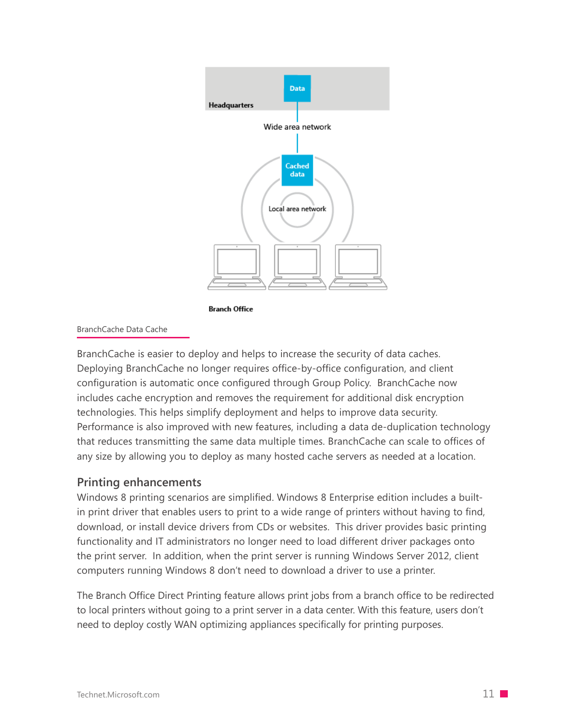

**Branch Office** 

#### BranchCache Data Cache

BranchCache is easier to deploy and helps to increase the security of data caches. Deploying BranchCache no longer requires office-by-office configuration, and client configuration is automatic once configured through Group Policy. BranchCache now includes cache encryption and removes the requirement for additional disk encryption technologies. This helps simplify deployment and helps to improve data security. Performance is also improved with new features, including a data de-duplication technology that reduces transmitting the same data multiple times. BranchCache can scale to offices of any size by allowing you to deploy as many hosted cache servers as needed at a location.

#### **Printing enhancements**

Windows 8 printing scenarios are simplified. Windows 8 Enterprise edition includes a builtin print driver that enables users to print to a wide range of printers without having to find, download, or install device drivers from CDs or websites. This driver provides basic printing functionality and IT administrators no longer need to load different driver packages onto the print server. In addition, when the print server is running Windows Server 2012, client computers running Windows 8 don't need to download a driver to use a printer.

The Branch Office Direct Printing feature allows print jobs from a branch office to be redirected to local printers without going to a print server in a data center. With this feature, users don't need to deploy costly WAN optimizing appliances specifically for printing purposes.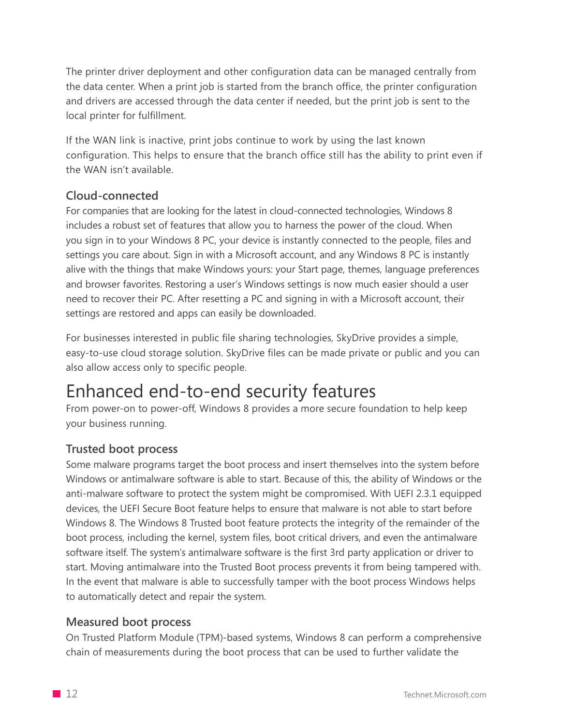The printer driver deployment and other configuration data can be managed centrally from the data center. When a print job is started from the branch office, the printer configuration and drivers are accessed through the data center if needed, but the print job is sent to the local printer for fulfillment.

If the WAN link is inactive, print jobs continue to work by using the last known configuration. This helps to ensure that the branch office still has the ability to print even if the WAN isn't available.

# **Cloud-connected**

For companies that are looking for the latest in cloud-connected technologies, Windows 8 includes a robust set of features that allow you to harness the power of the cloud. When you sign in to your Windows 8 PC, your device is instantly connected to the people, files and settings you care about. Sign in with a Microsoft account, and any Windows 8 PC is instantly alive with the things that make Windows yours: your Start page, themes, language preferences and browser favorites. Restoring a user's Windows settings is now much easier should a user need to recover their PC. After resetting a PC and signing in with a Microsoft account, their settings are restored and apps can easily be downloaded.

For businesses interested in public file sharing technologies, SkyDrive provides a simple, easy-to-use cloud storage solution. SkyDrive files can be made private or public and you can also allow access only to specific people.

# Enhanced end-to-end security features

From power-on to power-off, Windows 8 provides a more secure foundation to help keep your business running.

# **Trusted boot process**

Some malware programs target the boot process and insert themselves into the system before Windows or antimalware software is able to start. Because of this, the ability of Windows or the anti-malware software to protect the system might be compromised. With UEFI 2.3.1 equipped devices, the UEFI Secure Boot feature helps to ensure that malware is not able to start before Windows 8. The Windows 8 Trusted boot feature protects the integrity of the remainder of the boot process, including the kernel, system files, boot critical drivers, and even the antimalware software itself. The system's antimalware software is the first 3rd party application or driver to start. Moving antimalware into the Trusted Boot process prevents it from being tampered with. In the event that malware is able to successfully tamper with the boot process Windows helps to automatically detect and repair the system.

#### **Measured boot process**

On Trusted Platform Module (TPM)-based systems, Windows 8 can perform a comprehensive chain of measurements during the boot process that can be used to further validate the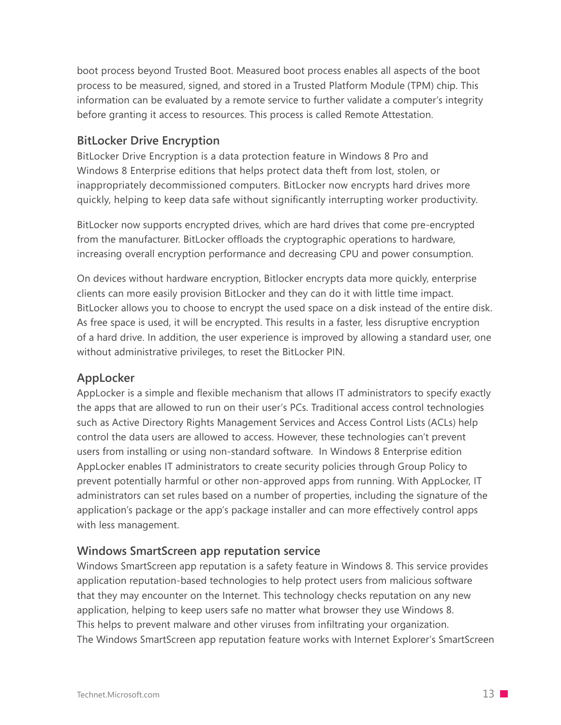boot process beyond Trusted Boot. Measured boot process enables all aspects of the boot process to be measured, signed, and stored in a Trusted Platform Module (TPM) chip. This information can be evaluated by a remote service to further validate a computer's integrity before granting it access to resources. This process is called Remote Attestation.

## **BitLocker Drive Encryption**

BitLocker Drive Encryption is a data protection feature in Windows 8 Pro and Windows 8 Enterprise editions that helps protect data theft from lost, stolen, or inappropriately decommissioned computers. BitLocker now encrypts hard drives more quickly, helping to keep data safe without significantly interrupting worker productivity.

BitLocker now supports encrypted drives, which are hard drives that come pre-encrypted from the manufacturer. BitLocker offloads the cryptographic operations to hardware, increasing overall encryption performance and decreasing CPU and power consumption.

On devices without hardware encryption, Bitlocker encrypts data more quickly, enterprise clients can more easily provision BitLocker and they can do it with little time impact. BitLocker allows you to choose to encrypt the used space on a disk instead of the entire disk. As free space is used, it will be encrypted. This results in a faster, less disruptive encryption of a hard drive. In addition, the user experience is improved by allowing a standard user, one without administrative privileges, to reset the BitLocker PIN.

## **AppLocker**

AppLocker is a simple and flexible mechanism that allows IT administrators to specify exactly the apps that are allowed to run on their user's PCs. Traditional access control technologies such as Active Directory Rights Management Services and Access Control Lists (ACLs) help control the data users are allowed to access. However, these technologies can't prevent users from installing or using non-standard software. In Windows 8 Enterprise edition AppLocker enables IT administrators to create security policies through Group Policy to prevent potentially harmful or other non-approved apps from running. With AppLocker, IT administrators can set rules based on a number of properties, including the signature of the application's package or the app's package installer and can more effectively control apps with less management.

# **Windows SmartScreen app reputation service**

Windows SmartScreen app reputation is a safety feature in Windows 8. This service provides application reputation-based technologies to help protect users from malicious software that they may encounter on the Internet. This technology checks reputation on any new application, helping to keep users safe no matter what browser they use Windows 8. This helps to prevent malware and other viruses from infiltrating your organization. The Windows SmartScreen app reputation feature works with Internet Explorer's SmartScreen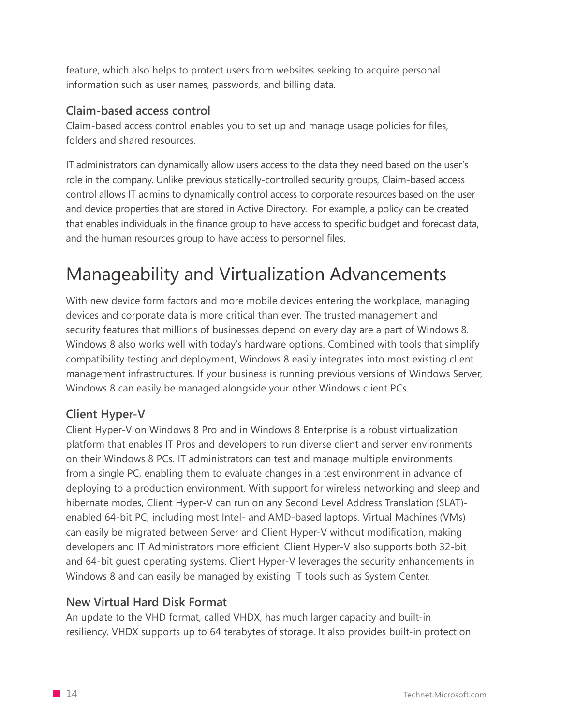feature, which also helps to protect users from websites seeking to acquire personal information such as user names, passwords, and billing data.

#### **Claim-based access control**

Claim-based access control enables you to set up and manage usage policies for files, folders and shared resources.

IT administrators can dynamically allow users access to the data they need based on the user's role in the company. Unlike previous statically-controlled security groups, Claim-based access control allows IT admins to dynamically control access to corporate resources based on the user and device properties that are stored in Active Directory. For example, a policy can be created that enables individuals in the finance group to have access to specific budget and forecast data, and the human resources group to have access to personnel files.

# Manageability and Virtualization Advancements

With new device form factors and more mobile devices entering the workplace, managing devices and corporate data is more critical than ever. The trusted management and security features that millions of businesses depend on every day are a part of Windows 8. Windows 8 also works well with today's hardware options. Combined with tools that simplify compatibility testing and deployment, Windows 8 easily integrates into most existing client management infrastructures. If your business is running previous versions of Windows Server, Windows 8 can easily be managed alongside your other Windows client PCs.

# **Client Hyper-V**

Client Hyper-V on Windows 8 Pro and in Windows 8 Enterprise is a robust virtualization platform that enables IT Pros and developers to run diverse client and server environments on their Windows 8 PCs. IT administrators can test and manage multiple environments from a single PC, enabling them to evaluate changes in a test environment in advance of deploying to a production environment. With support for wireless networking and sleep and hibernate modes, Client Hyper-V can run on any Second Level Address Translation (SLAT) enabled 64-bit PC, including most Intel- and AMD-based laptops. Virtual Machines (VMs) can easily be migrated between Server and Client Hyper-V without modification, making developers and IT Administrators more efficient. Client Hyper-V also supports both 32-bit and 64-bit guest operating systems. Client Hyper-V leverages the security enhancements in Windows 8 and can easily be managed by existing IT tools such as System Center.

## **New Virtual Hard Disk Format**

An update to the VHD format, called VHDX, has much larger capacity and built-in resiliency. VHDX supports up to 64 terabytes of storage. It also provides built-in protection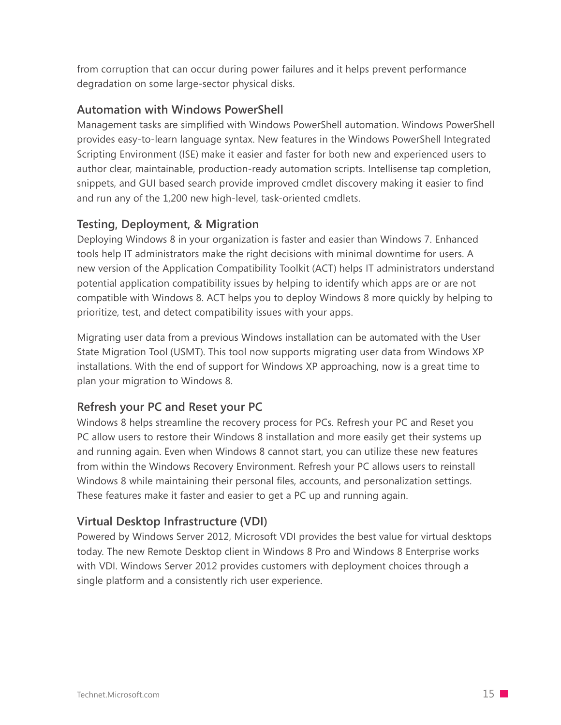from corruption that can occur during power failures and it helps prevent performance degradation on some large-sector physical disks.

## **Automation with Windows PowerShell**

Management tasks are simplified with Windows PowerShell automation. Windows PowerShell provides easy-to-learn language syntax. New features in the Windows PowerShell Integrated Scripting Environment (ISE) make it easier and faster for both new and experienced users to author clear, maintainable, production-ready automation scripts. Intellisense tap completion, snippets, and GUI based search provide improved cmdlet discovery making it easier to find and run any of the 1,200 new high-level, task-oriented cmdlets.

## **Testing, Deployment, & Migration**

Deploying Windows 8 in your organization is faster and easier than Windows 7. Enhanced tools help IT administrators make the right decisions with minimal downtime for users. A new version of the Application Compatibility Toolkit (ACT) helps IT administrators understand potential application compatibility issues by helping to identify which apps are or are not compatible with Windows 8. ACT helps you to deploy Windows 8 more quickly by helping to prioritize, test, and detect compatibility issues with your apps.

Migrating user data from a previous Windows installation can be automated with the User State Migration Tool (USMT). This tool now supports migrating user data from Windows XP installations. With the end of support for Windows XP approaching, now is a great time to plan your migration to Windows 8.

## **Refresh your PC and Reset your PC**

Windows 8 helps streamline the recovery process for PCs. Refresh your PC and Reset you PC allow users to restore their Windows 8 installation and more easily get their systems up and running again. Even when Windows 8 cannot start, you can utilize these new features from within the Windows Recovery Environment. Refresh your PC allows users to reinstall Windows 8 while maintaining their personal files, accounts, and personalization settings. These features make it faster and easier to get a PC up and running again.

## **Virtual Desktop Infrastructure (VDI)**

Powered by Windows Server 2012, Microsoft VDI provides the best value for virtual desktops today. The new Remote Desktop client in Windows 8 Pro and Windows 8 Enterprise works with VDI. Windows Server 2012 provides customers with deployment choices through a single platform and a consistently rich user experience.